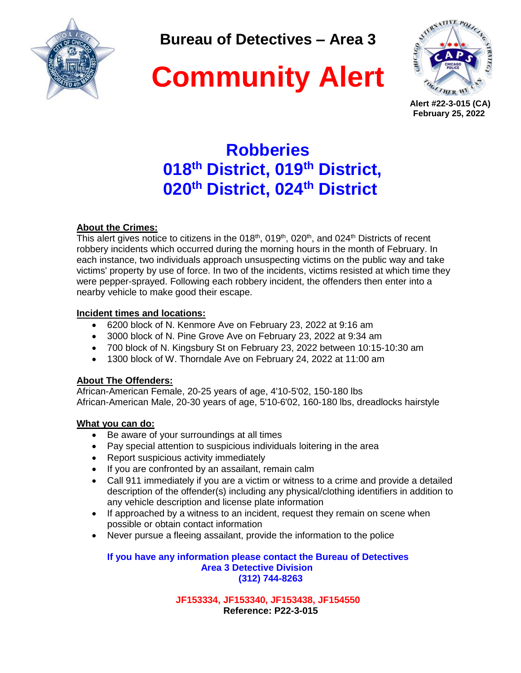

**Bureau of Detectives – Area 3**





 **Alert #22-3-015 (CA) February 25, 2022**

# **Robberies 018th District, 019th District, 020th District, 024th District**

# **About the Crimes:**

This alert gives notice to citizens in the 018<sup>th</sup>, 019<sup>th</sup>, 020<sup>th</sup>, and 024<sup>th</sup> Districts of recent robbery incidents which occurred during the morning hours in the month of February. In each instance, two individuals approach unsuspecting victims on the public way and take victims' property by use of force. In two of the incidents, victims resisted at which time they were pepper-sprayed. Following each robbery incident, the offenders then enter into a nearby vehicle to make good their escape.

# **Incident times and locations:**

- 6200 block of N. Kenmore Ave on February 23, 2022 at 9:16 am
- 3000 block of N. Pine Grove Ave on February 23, 2022 at 9:34 am
- 700 block of N. Kingsbury St on February 23, 2022 between 10:15-10:30 am
- 1300 block of W. Thorndale Ave on February 24, 2022 at 11:00 am

# **About The Offenders:**

African-American Female, 20-25 years of age, 4'10-5'02, 150-180 lbs African-American Male, 20-30 years of age, 5'10-6'02, 160-180 lbs, dreadlocks hairstyle

# **What you can do:**

- Be aware of your surroundings at all times
- Pay special attention to suspicious individuals loitering in the area
- Report suspicious activity immediately
- If you are confronted by an assailant, remain calm
- Call 911 immediately if you are a victim or witness to a crime and provide a detailed description of the offender(s) including any physical/clothing identifiers in addition to any vehicle description and license plate information
- If approached by a witness to an incident, request they remain on scene when possible or obtain contact information
- Never pursue a fleeing assailant, provide the information to the police

**If you have any information please contact the Bureau of Detectives Area 3 Detective Division (312) 744-8263**

> **JF153334, JF153340, JF153438, JF154550 Reference: P22-3-015**